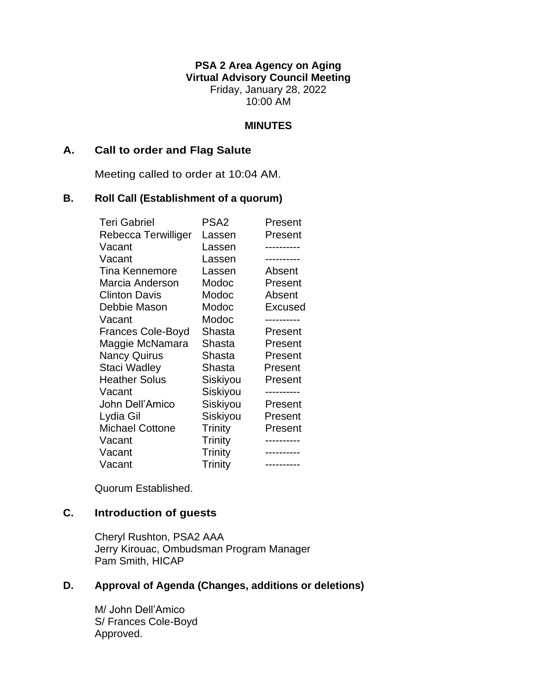**PSA 2 Area Agency on Aging Virtual Advisory Council Meeting** Friday, January 28, 2022 10:00 AM

### **MINUTES**

### **A. Call to order and Flag Salute**

Meeting called to order at 10:04 AM.

### **B. Roll Call (Establishment of a quorum)**

| <b>Teri Gabriel</b>      | PSA <sub>2</sub> | Present        |
|--------------------------|------------------|----------------|
| Rebecca Terwilliger      | Lassen           | Present        |
| Vacant                   | Lassen           |                |
| Vacant                   | Lassen           |                |
| <b>Tina Kennemore</b>    | Lassen           | Absent         |
| Marcia Anderson          | Modoc            | Present        |
| <b>Clinton Davis</b>     | Modoc            | Absent         |
| Debbie Mason             | Modoc            | <b>Excused</b> |
| Vacant                   | Modoc            |                |
| <b>Frances Cole-Boyd</b> | Shasta           | Present        |
| Maggie McNamara          | Shasta           | Present        |
| <b>Nancy Quirus</b>      | Shasta           | Present        |
| Staci Wadley             | Shasta           | Present        |
| <b>Heather Solus</b>     | Siskiyou         | Present        |
| Vacant                   | Siskiyou         |                |
| John Dell'Amico          | Siskiyou         | Present        |
| Lydia Gil                | Siskiyou         | Present        |
| <b>Michael Cottone</b>   | Trinity          | Present        |
| Vacant                   | Trinity          |                |
| Vacant                   | Trinity          |                |
| Vacant                   | Trinity          | ----------     |

Quorum Established.

# **C. Introduction of guests**

Cheryl Rushton, PSA2 AAA Jerry Kirouac, Ombudsman Program Manager Pam Smith, HICAP

# **D. Approval of Agenda (Changes, additions or deletions)**

M/ John Dell'Amico S/ Frances Cole-Boyd Approved.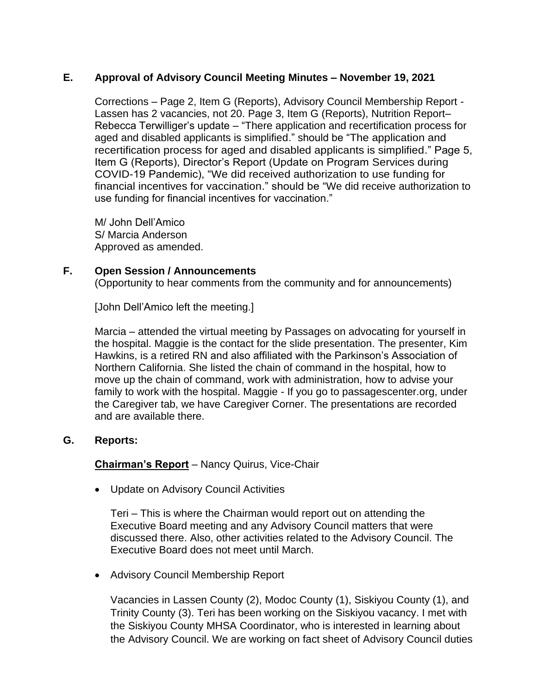# **E. Approval of Advisory Council Meeting Minutes – November 19, 2021**

Corrections – Page 2, Item G (Reports), Advisory Council Membership Report - Lassen has 2 vacancies, not 20. Page 3, Item G (Reports), Nutrition Report– Rebecca Terwilliger's update – "There application and recertification process for aged and disabled applicants is simplified." should be "The application and recertification process for aged and disabled applicants is simplified." Page 5, Item G (Reports), Director's Report (Update on Program Services during COVID-19 Pandemic), "We did received authorization to use funding for financial incentives for vaccination." should be "We did receive authorization to use funding for financial incentives for vaccination."

M/ John Dell'Amico S/ Marcia Anderson Approved as amended.

# **F. Open Session / Announcements**

(Opportunity to hear comments from the community and for announcements)

[John Dell'Amico left the meeting.]

Marcia – attended the virtual meeting by Passages on advocating for yourself in the hospital. Maggie is the contact for the slide presentation. The presenter, Kim Hawkins, is a retired RN and also affiliated with the Parkinson's Association of Northern California. She listed the chain of command in the hospital, how to move up the chain of command, work with administration, how to advise your family to work with the hospital. Maggie - If you go to passagescenter.org, under the Caregiver tab, we have Caregiver Corner. The presentations are recorded and are available there.

# **G. Reports:**

**Chairman's Report** – Nancy Quirus, Vice-Chair

• Update on Advisory Council Activities

Teri – This is where the Chairman would report out on attending the Executive Board meeting and any Advisory Council matters that were discussed there. Also, other activities related to the Advisory Council. The Executive Board does not meet until March.

• Advisory Council Membership Report

Vacancies in Lassen County (2), Modoc County (1), Siskiyou County (1), and Trinity County (3). Teri has been working on the Siskiyou vacancy. I met with the Siskiyou County MHSA Coordinator, who is interested in learning about the Advisory Council. We are working on fact sheet of Advisory Council duties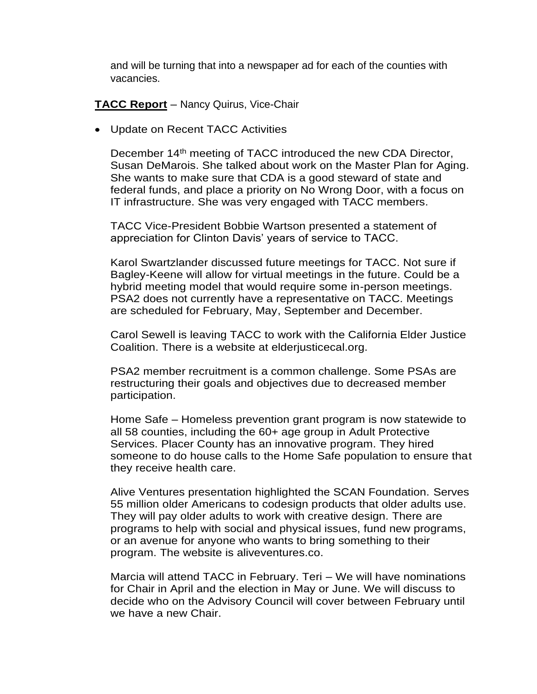and will be turning that into a newspaper ad for each of the counties with vacancies.

**TACC Report** – Nancy Quirus, Vice-Chair

• Update on Recent TACC Activities

December 14<sup>th</sup> meeting of TACC introduced the new CDA Director, Susan DeMarois. She talked about work on the Master Plan for Aging. She wants to make sure that CDA is a good steward of state and federal funds, and place a priority on No Wrong Door, with a focus on IT infrastructure. She was very engaged with TACC members.

TACC Vice-President Bobbie Wartson presented a statement of appreciation for Clinton Davis' years of service to TACC.

Karol Swartzlander discussed future meetings for TACC. Not sure if Bagley-Keene will allow for virtual meetings in the future. Could be a hybrid meeting model that would require some in-person meetings. PSA2 does not currently have a representative on TACC. Meetings are scheduled for February, May, September and December.

Carol Sewell is leaving TACC to work with the California Elder Justice Coalition. There is a website at elderjusticecal.org.

PSA2 member recruitment is a common challenge. Some PSAs are restructuring their goals and objectives due to decreased member participation.

Home Safe – Homeless prevention grant program is now statewide to all 58 counties, including the 60+ age group in Adult Protective Services. Placer County has an innovative program. They hired someone to do house calls to the Home Safe population to ensure that they receive health care.

Alive Ventures presentation highlighted the SCAN Foundation. Serves 55 million older Americans to codesign products that older adults use. They will pay older adults to work with creative design. There are programs to help with social and physical issues, fund new programs, or an avenue for anyone who wants to bring something to their program. The website is aliveventures.co.

Marcia will attend TACC in February. Teri – We will have nominations for Chair in April and the election in May or June. We will discuss to decide who on the Advisory Council will cover between February until we have a new Chair.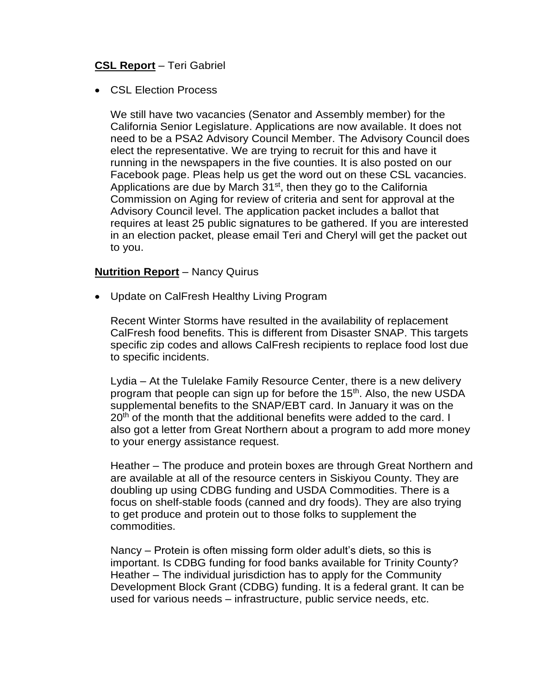# **CSL Report** – Teri Gabriel

• CSL Election Process

We still have two vacancies (Senator and Assembly member) for the California Senior Legislature. Applications are now available. It does not need to be a PSA2 Advisory Council Member. The Advisory Council does elect the representative. We are trying to recruit for this and have it running in the newspapers in the five counties. It is also posted on our Facebook page. Pleas help us get the word out on these CSL vacancies. Applications are due by March  $31<sup>st</sup>$ , then they go to the California Commission on Aging for review of criteria and sent for approval at the Advisory Council level. The application packet includes a ballot that requires at least 25 public signatures to be gathered. If you are interested in an election packet, please email Teri and Cheryl will get the packet out to you.

#### **Nutrition Report** – Nancy Quirus

• Update on CalFresh Healthy Living Program

Recent Winter Storms have resulted in the availability of replacement CalFresh food benefits. This is different from Disaster SNAP. This targets specific zip codes and allows CalFresh recipients to replace food lost due to specific incidents.

Lydia – At the Tulelake Family Resource Center, there is a new delivery program that people can sign up for before the 15<sup>th</sup>. Also, the new USDA supplemental benefits to the SNAP/EBT card. In January it was on the  $20<sup>th</sup>$  of the month that the additional benefits were added to the card. I also got a letter from Great Northern about a program to add more money to your energy assistance request.

Heather – The produce and protein boxes are through Great Northern and are available at all of the resource centers in Siskiyou County. They are doubling up using CDBG funding and USDA Commodities. There is a focus on shelf-stable foods (canned and dry foods). They are also trying to get produce and protein out to those folks to supplement the commodities.

Nancy – Protein is often missing form older adult's diets, so this is important. Is CDBG funding for food banks available for Trinity County? Heather – The individual jurisdiction has to apply for the Community Development Block Grant (CDBG) funding. It is a federal grant. It can be used for various needs – infrastructure, public service needs, etc.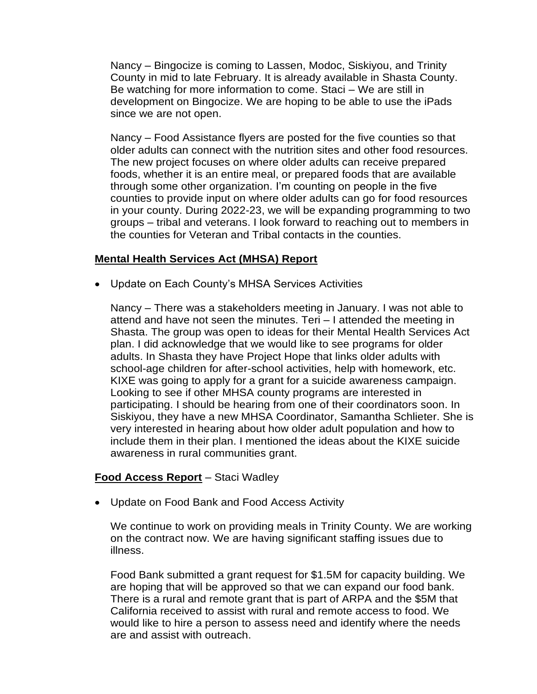Nancy – Bingocize is coming to Lassen, Modoc, Siskiyou, and Trinity County in mid to late February. It is already available in Shasta County. Be watching for more information to come. Staci – We are still in development on Bingocize. We are hoping to be able to use the iPads since we are not open.

Nancy – Food Assistance flyers are posted for the five counties so that older adults can connect with the nutrition sites and other food resources. The new project focuses on where older adults can receive prepared foods, whether it is an entire meal, or prepared foods that are available through some other organization. I'm counting on people in the five counties to provide input on where older adults can go for food resources in your county. During 2022-23, we will be expanding programming to two groups – tribal and veterans. I look forward to reaching out to members in the counties for Veteran and Tribal contacts in the counties.

### **Mental Health Services Act (MHSA) Report**

• Update on Each County's MHSA Services Activities

Nancy – There was a stakeholders meeting in January. I was not able to attend and have not seen the minutes. Teri – I attended the meeting in Shasta. The group was open to ideas for their Mental Health Services Act plan. I did acknowledge that we would like to see programs for older adults. In Shasta they have Project Hope that links older adults with school-age children for after-school activities, help with homework, etc. KIXE was going to apply for a grant for a suicide awareness campaign. Looking to see if other MHSA county programs are interested in participating. I should be hearing from one of their coordinators soon. In Siskiyou, they have a new MHSA Coordinator, Samantha Schlieter. She is very interested in hearing about how older adult population and how to include them in their plan. I mentioned the ideas about the KIXE suicide awareness in rural communities grant.

#### **Food Access Report** – Staci Wadley

• Update on Food Bank and Food Access Activity

We continue to work on providing meals in Trinity County. We are working on the contract now. We are having significant staffing issues due to illness.

Food Bank submitted a grant request for \$1.5M for capacity building. We are hoping that will be approved so that we can expand our food bank. There is a rural and remote grant that is part of ARPA and the \$5M that California received to assist with rural and remote access to food. We would like to hire a person to assess need and identify where the needs are and assist with outreach.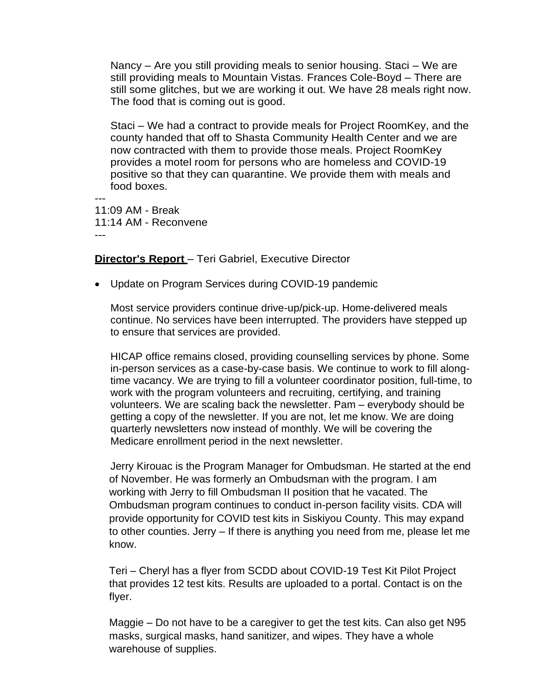Nancy – Are you still providing meals to senior housing. Staci – We are still providing meals to Mountain Vistas. Frances Cole-Boyd – There are still some glitches, but we are working it out. We have 28 meals right now. The food that is coming out is good.

Staci – We had a contract to provide meals for Project RoomKey, and the county handed that off to Shasta Community Health Center and we are now contracted with them to provide those meals. Project RoomKey provides a motel room for persons who are homeless and COVID-19 positive so that they can quarantine. We provide them with meals and food boxes.

--- 11:09 AM - Break 11:14 AM - Reconvene ---

# **Director's Report** – Teri Gabriel, Executive Director

• Update on Program Services during COVID-19 pandemic

Most service providers continue drive-up/pick-up. Home-delivered meals continue. No services have been interrupted. The providers have stepped up to ensure that services are provided.

HICAP office remains closed, providing counselling services by phone. Some in-person services as a case-by-case basis. We continue to work to fill alongtime vacancy. We are trying to fill a volunteer coordinator position, full-time, to work with the program volunteers and recruiting, certifying, and training volunteers. We are scaling back the newsletter. Pam – everybody should be getting a copy of the newsletter. If you are not, let me know. We are doing quarterly newsletters now instead of monthly. We will be covering the Medicare enrollment period in the next newsletter.

Jerry Kirouac is the Program Manager for Ombudsman. He started at the end of November. He was formerly an Ombudsman with the program. I am working with Jerry to fill Ombudsman II position that he vacated. The Ombudsman program continues to conduct in-person facility visits. CDA will provide opportunity for COVID test kits in Siskiyou County. This may expand to other counties. Jerry – If there is anything you need from me, please let me know.

Teri – Cheryl has a flyer from SCDD about COVID-19 Test Kit Pilot Project that provides 12 test kits. Results are uploaded to a portal. Contact is on the flyer.

Maggie – Do not have to be a caregiver to get the test kits. Can also get N95 masks, surgical masks, hand sanitizer, and wipes. They have a whole warehouse of supplies.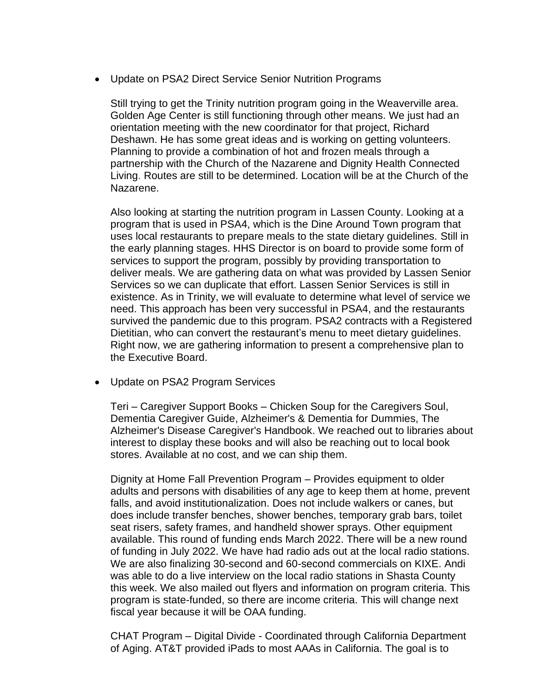• Update on PSA2 Direct Service Senior Nutrition Programs

Still trying to get the Trinity nutrition program going in the Weaverville area. Golden Age Center is still functioning through other means. We just had an orientation meeting with the new coordinator for that project, Richard Deshawn. He has some great ideas and is working on getting volunteers. Planning to provide a combination of hot and frozen meals through a partnership with the Church of the Nazarene and Dignity Health Connected Living. Routes are still to be determined. Location will be at the Church of the Nazarene.

Also looking at starting the nutrition program in Lassen County. Looking at a program that is used in PSA4, which is the Dine Around Town program that uses local restaurants to prepare meals to the state dietary guidelines. Still in the early planning stages. HHS Director is on board to provide some form of services to support the program, possibly by providing transportation to deliver meals. We are gathering data on what was provided by Lassen Senior Services so we can duplicate that effort. Lassen Senior Services is still in existence. As in Trinity, we will evaluate to determine what level of service we need. This approach has been very successful in PSA4, and the restaurants survived the pandemic due to this program. PSA2 contracts with a Registered Dietitian, who can convert the restaurant's menu to meet dietary guidelines. Right now, we are gathering information to present a comprehensive plan to the Executive Board.

• Update on PSA2 Program Services

Teri – Caregiver Support Books – Chicken Soup for the Caregivers Soul, Dementia Caregiver Guide, Alzheimer's & Dementia for Dummies, The Alzheimer's Disease Caregiver's Handbook. We reached out to libraries about interest to display these books and will also be reaching out to local book stores. Available at no cost, and we can ship them.

Dignity at Home Fall Prevention Program – Provides equipment to older adults and persons with disabilities of any age to keep them at home, prevent falls, and avoid institutionalization. Does not include walkers or canes, but does include transfer benches, shower benches, temporary grab bars, toilet seat risers, safety frames, and handheld shower sprays. Other equipment available. This round of funding ends March 2022. There will be a new round of funding in July 2022. We have had radio ads out at the local radio stations. We are also finalizing 30-second and 60-second commercials on KIXE. Andi was able to do a live interview on the local radio stations in Shasta County this week. We also mailed out flyers and information on program criteria. This program is state-funded, so there are income criteria. This will change next fiscal year because it will be OAA funding.

CHAT Program – Digital Divide - Coordinated through California Department of Aging. AT&T provided iPads to most AAAs in California. The goal is to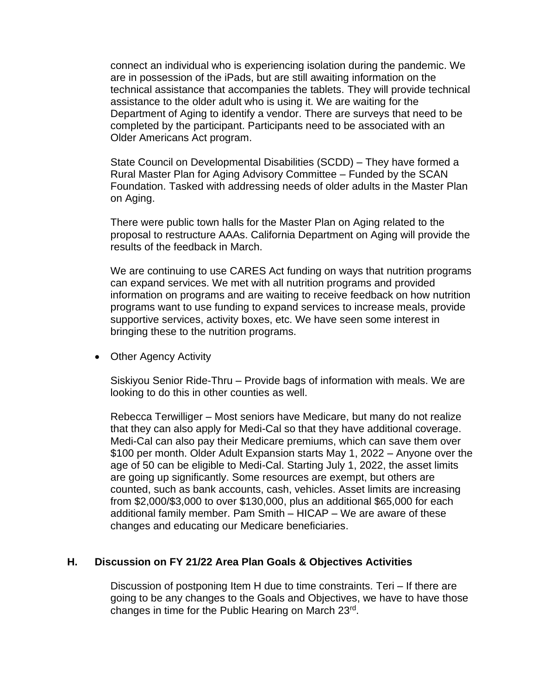connect an individual who is experiencing isolation during the pandemic. We are in possession of the iPads, but are still awaiting information on the technical assistance that accompanies the tablets. They will provide technical assistance to the older adult who is using it. We are waiting for the Department of Aging to identify a vendor. There are surveys that need to be completed by the participant. Participants need to be associated with an Older Americans Act program.

State Council on Developmental Disabilities (SCDD) – They have formed a Rural Master Plan for Aging Advisory Committee – Funded by the SCAN Foundation. Tasked with addressing needs of older adults in the Master Plan on Aging.

There were public town halls for the Master Plan on Aging related to the proposal to restructure AAAs. California Department on Aging will provide the results of the feedback in March.

We are continuing to use CARES Act funding on ways that nutrition programs can expand services. We met with all nutrition programs and provided information on programs and are waiting to receive feedback on how nutrition programs want to use funding to expand services to increase meals, provide supportive services, activity boxes, etc. We have seen some interest in bringing these to the nutrition programs.

• Other Agency Activity

Siskiyou Senior Ride-Thru – Provide bags of information with meals. We are looking to do this in other counties as well.

Rebecca Terwilliger – Most seniors have Medicare, but many do not realize that they can also apply for Medi-Cal so that they have additional coverage. Medi-Cal can also pay their Medicare premiums, which can save them over \$100 per month. Older Adult Expansion starts May 1, 2022 – Anyone over the age of 50 can be eligible to Medi-Cal. Starting July 1, 2022, the asset limits are going up significantly. Some resources are exempt, but others are counted, such as bank accounts, cash, vehicles. Asset limits are increasing from \$2,000/\$3,000 to over \$130,000, plus an additional \$65,000 for each additional family member. Pam Smith – HICAP – We are aware of these changes and educating our Medicare beneficiaries.

# **H. Discussion on FY 21/22 Area Plan Goals & Objectives Activities**

Discussion of postponing Item H due to time constraints. Teri – If there are going to be any changes to the Goals and Objectives, we have to have those changes in time for the Public Hearing on March 23rd.